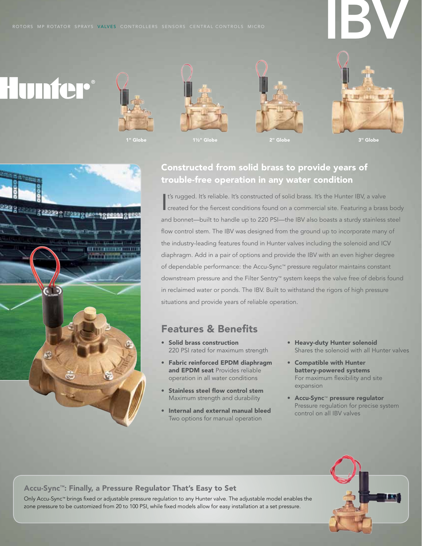# IBV







1" Globe 1½" Globe 2" Globe 3" Globe



# Constructed from solid brass to provide years of trouble-free operation in any water condition

It's rugged. It's reliable. It's constructed of solid brass. It's the Hunter IBV, a valve<br>created for the fiercest conditions found on a commercial site. Featuring a brass body It's rugged. It's reliable. It's constructed of solid brass. It's the Hunter IBV, a valve and bonnet—built to handle up to 220 PSI—the IBV also boasts a sturdy stainless steel flow control stem. The IBV was designed from the ground up to incorporate many of the industry-leading features found in Hunter valves including the solenoid and ICV diaphragm. Add in a pair of options and provide the IBV with an even higher degree of dependable performance: the Accu-Sync™ pressure regulator maintains constant downstream pressure and the Filter Sentry™ system keeps the valve free of debris found in reclaimed water or ponds. The IBV. Built to withstand the rigors of high pressure situations and provide years of reliable operation.

## Features & Benefits

- • Solid brass construction 220 PSI rated for maximum strength
- • Fabric reinforced EPDM diaphragm and EPDM seat Provides reliable operation in all water conditions
- • Stainless steel flow control stem Maximum strength and durability
- • Internal and external manual bleed Two options for manual operation
- Heavy-duty Hunter solenoid Shares the solenoid with all Hunter valves
- • Compatible with Hunter battery-powered systems For maximum flexibility and site expansion
- • Accu-Sync™ pressure regulator Pressure regulation for precise system control on all IBV valves



## Accu-Sync™: Finally, a Pressure Regulator That's Easy to Set

Only Accu-Sync™ brings fixed or adjustable pressure regulation to any Hunter valve. The adjustable model enables the zone pressure to be customized from 20 to 100 PSI, while fixed models allow for easy installation at a set pressure.